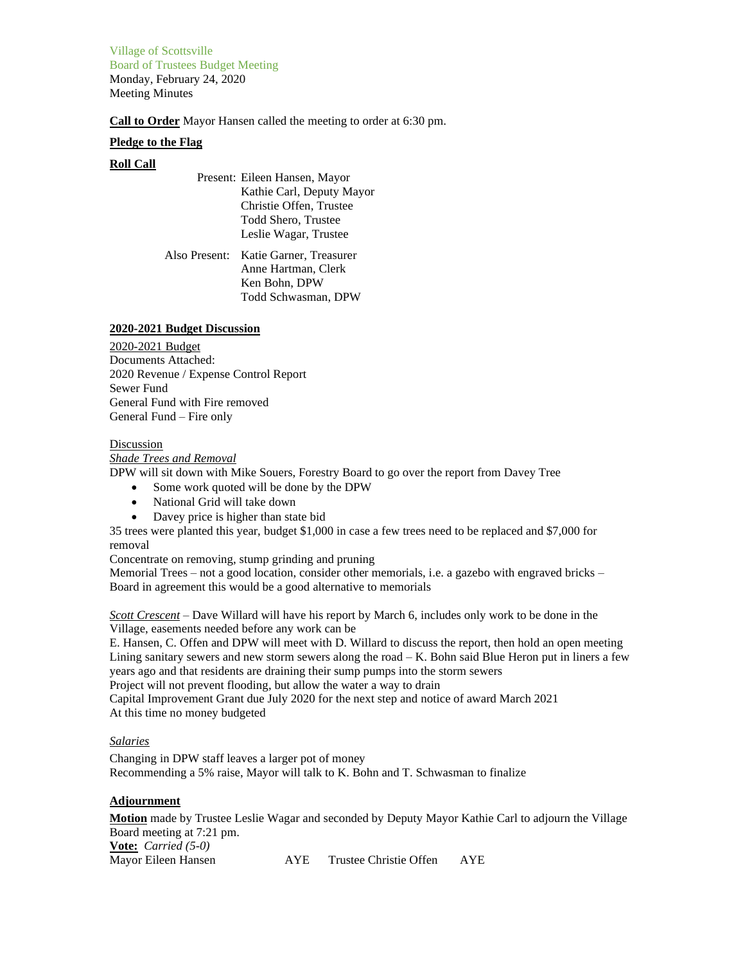Village of Scottsville Board of Trustees Budget Meeting Monday, February 24, 2020 Meeting Minutes

**Call to Order** Mayor Hansen called the meeting to order at 6:30 pm.

### **Pledge to the Flag**

# **Roll Call**

Present: Eileen Hansen, Mayor Kathie Carl, Deputy Mayor Christie Offen, Trustee Todd Shero, Trustee Leslie Wagar, Trustee

Also Present: Katie Garner, Treasurer Anne Hartman, Clerk Ken Bohn, DPW Todd Schwasman, DPW

### **2020-2021 Budget Discussion**

2020-2021 Budget Documents Attached: 2020 Revenue / Expense Control Report Sewer Fund General Fund with Fire removed General Fund – Fire only

### Discussion

#### *Shade Trees and Removal*

DPW will sit down with Mike Souers, Forestry Board to go over the report from Davey Tree

- Some work quoted will be done by the DPW
- National Grid will take down
- Davey price is higher than state bid

35 trees were planted this year, budget \$1,000 in case a few trees need to be replaced and \$7,000 for removal

Concentrate on removing, stump grinding and pruning

Memorial Trees – not a good location, consider other memorials, i.e. a gazebo with engraved bricks – Board in agreement this would be a good alternative to memorials

*Scott Crescent* – Dave Willard will have his report by March 6, includes only work to be done in the Village, easements needed before any work can be

E. Hansen, C. Offen and DPW will meet with D. Willard to discuss the report, then hold an open meeting Lining sanitary sewers and new storm sewers along the road  $-K$ . Bohn said Blue Heron put in liners a few years ago and that residents are draining their sump pumps into the storm sewers

Project will not prevent flooding, but allow the water a way to drain

Capital Improvement Grant due July 2020 for the next step and notice of award March 2021 At this time no money budgeted

# *Salaries*

Changing in DPW staff leaves a larger pot of money Recommending a 5% raise, Mayor will talk to K. Bohn and T. Schwasman to finalize

# **Adjournment**

**Motion** made by Trustee Leslie Wagar and seconded by Deputy Mayor Kathie Carl to adjourn the Village Board meeting at 7:21 pm. **Vote:** *Carried (5-0)* Mayor Eileen Hansen AYE Trustee Christie Offen AYE